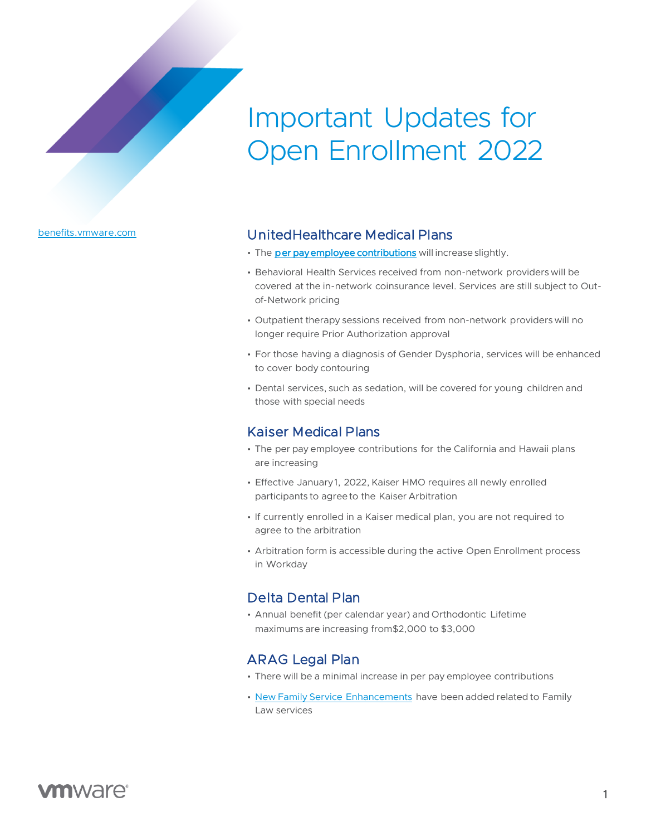# Important Updates for Open Enrollment 2022

[benefits.vmware.com](http://www.benefits.vmware.com/)

## UnitedHealthcare Medical Plans

- The [per pay employee contributions](https://benefits.vmware.com/wp-content/uploads/2021/10/2022-Employee-Contributions-Chart.pdf) will increase slightly.
- Behavioral Health Services received from non-network providers will be covered at the in-network coinsurance level. Services are still subject to Outof-Network pricing
- Outpatient therapy sessions received from non-network providers will no longer require Prior Authorization approval
- For those having a diagnosis of Gender Dysphoria, services will be enhanced to cover body contouring
- Dental services, such as sedation, will be covered for young children and those with special needs

### Kaiser Medical Plans

- The per pay employee contributions for the California and Hawaii plans are increasing
- Effective January 1, 2022, Kaiser HMO requires all newly enrolled participants to agree to the Kaiser Arbitration
- If currently enrolled in a Kaiser medical plan, you are not required to agree to the arbitration
- Arbitration form is accessible during the active Open Enrollment process in Workday

#### Delta Dental Plan

• Annual benefit (per calendar year) and Orthodontic Lifetime maximums are increasing from\$2,000 to \$3,000

#### [ARAG Legal Plan](https://benefits.vmware.com/wp-content/uploads/2021/10/2022-ARAG-Legal-Plan.pdf)

- There will be a minimal increase in per pay employee contributions
- New Family Service Enhancements have been added related to Family Law services

# **vm**ware<sup>®</sup>